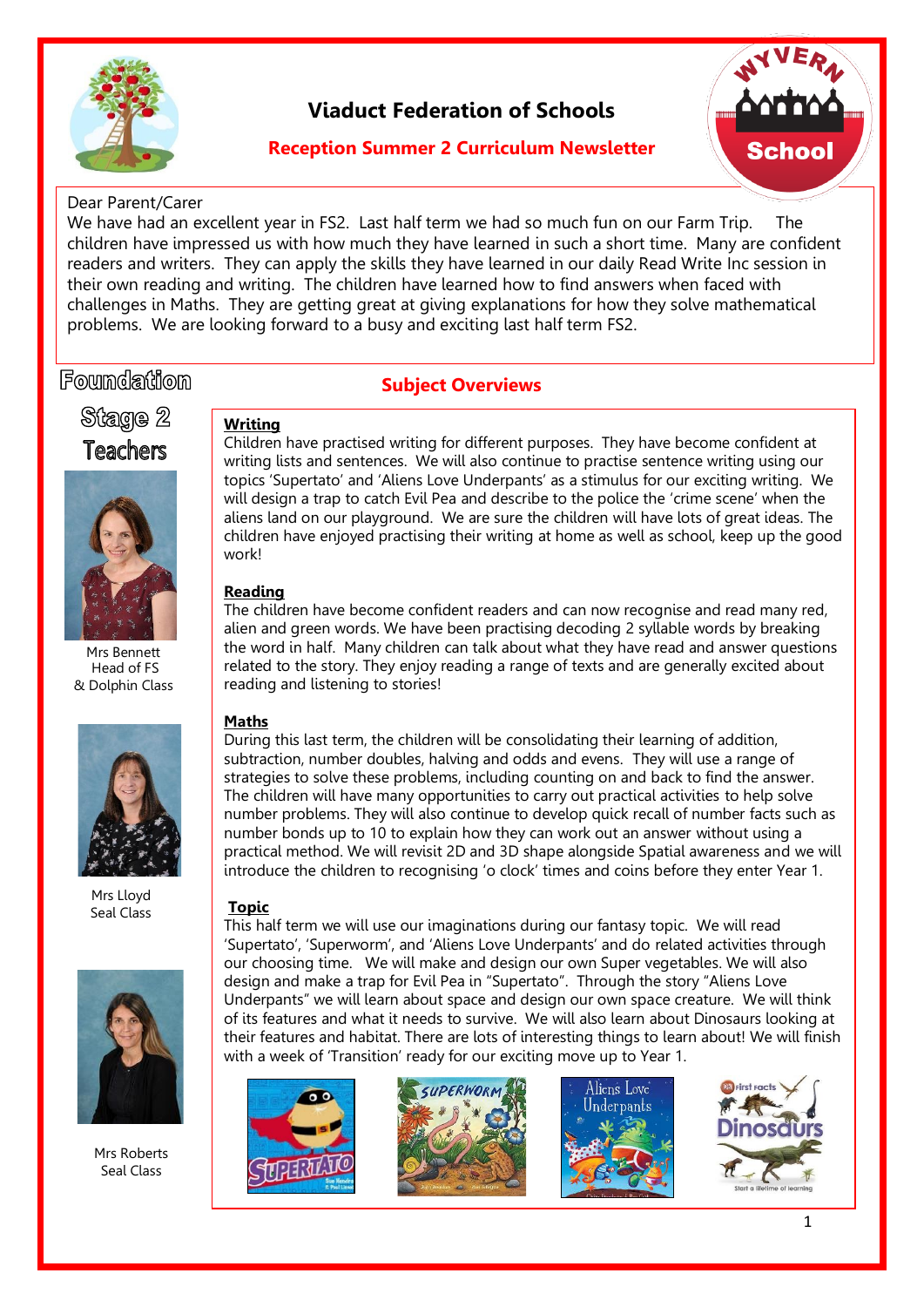

## **Viaduct Federation of Schools**

### **Reception Summer 2 Curriculum Newsletter**



#### Dear Parent/Carer

We have had an excellent year in FS2. Last half term we had so much fun on our Farm Trip. The children have impressed us with how much they have learned in such a short time. Many are confident readers and writers. They can apply the skills they have learned in our daily Read Write Inc session in their own reading and writing. The children have learned how to find answers when faced with challenges in Maths. They are getting great at giving explanations for how they solve mathematical problems. We are looking forward to a busy and exciting last half term FS2.

## Foundation

#### **Subject Overviews**

Stage 2 **Teachers** 



Mrs Bennett Head of FS & Dolphin Class



Mrs Lloyd Seal Class



Mrs Roberts Seal Class

**Writing**  Children have practised writing for different purposes. They have become confident at writing lists and sentences. We will also continue to practise sentence writing using our topics 'Supertato' and 'Aliens Love Underpants' as a stimulus for our exciting writing. We will design a trap to catch Evil Pea and describe to the police the 'crime scene' when the aliens land on our playground. We are sure the children will have lots of great ideas. The children have enjoyed practising their writing at home as well as school, keep up the good work!

#### **Reading**

The children have become confident readers and can now recognise and read many red, alien and green words. We have been practising decoding 2 syllable words by breaking the word in half. Many children can talk about what they have read and answer questions related to the story. They enjoy reading a range of texts and are generally excited about reading and listening to stories!

#### **Maths**

During this last term, the children will be consolidating their learning of addition, subtraction, number doubles, halving and odds and evens. They will use a range of strategies to solve these problems, including counting on and back to find the answer. The children will have many opportunities to carry out practical activities to help solve number problems. They will also continue to develop quick recall of number facts such as number bonds up to 10 to explain how they can work out an answer without using a practical method. We will revisit 2D and 3D shape alongside Spatial awareness and we will introduce the children to recognising 'o clock' times and coins before they enter Year 1.

#### **Topic**

This half term we will use our imaginations during our fantasy topic. We will read 'Supertato', 'Superworm', and 'Aliens Love Underpants' and do related activities through our choosing time. We will make and design our own Super vegetables. We will also design and make a trap for Evil Pea in "Supertato". Through the story "Aliens Love Underpants" we will learn about space and design our own space creature. We will think of its features and what it needs to survive. We will also learn about Dinosaurs looking at their features and habitat. There are lots of interesting things to learn about! We will finish with a week of 'Transition' ready for our exciting move up to Year 1.





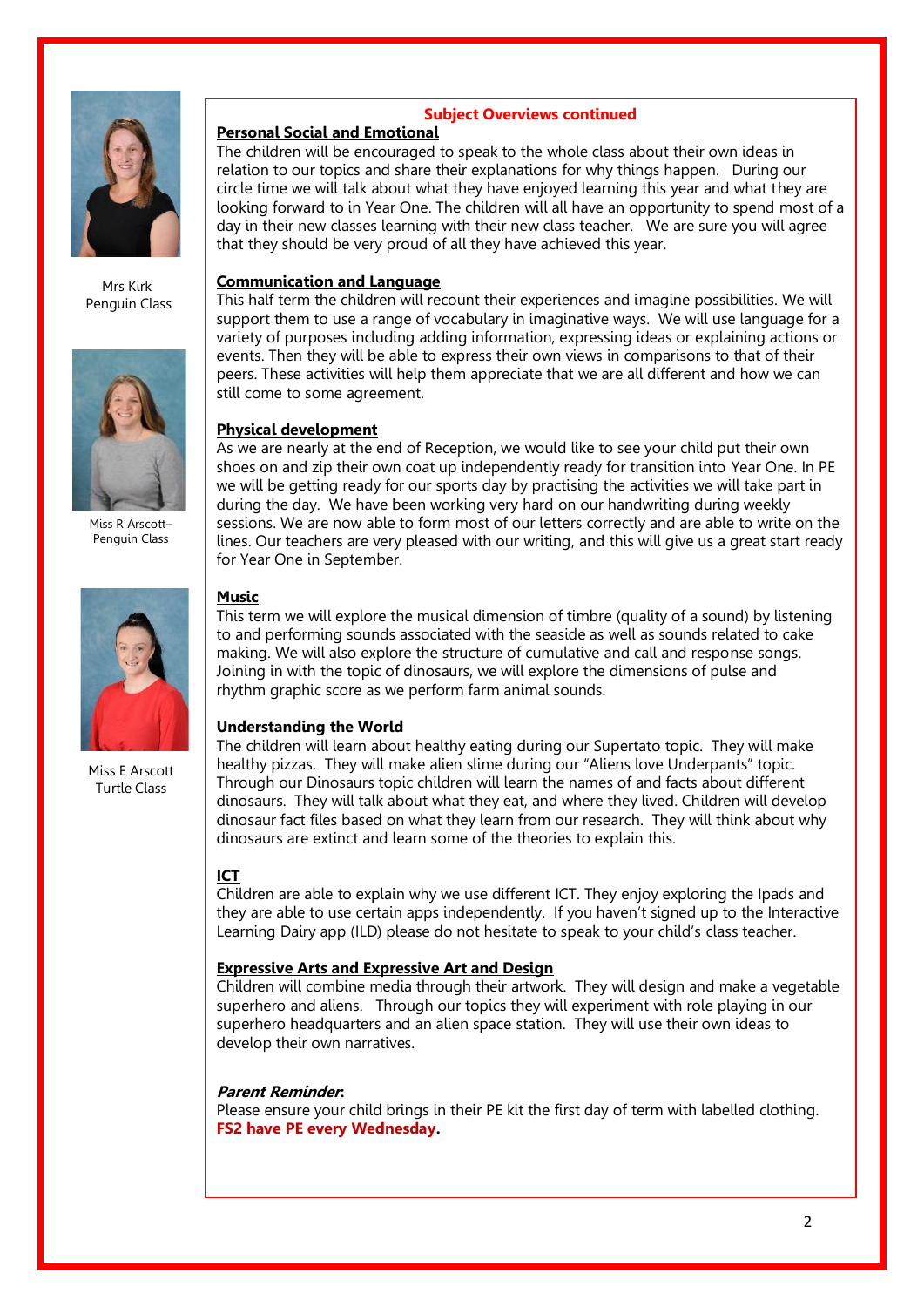

Mrs Kirk Penguin Class



Miss R Arscott– Penguin Class



Miss E Arscott Turtle Class

#### **Subject Overviews continued**

## **Personal Social and Emotional**

The children will be encouraged to speak to the whole class about their own ideas in relation to our topics and share their explanations for why things happen. During our circle time we will talk about what they have enjoyed learning this year and what they are looking forward to in Year One. The children will all have an opportunity to spend most of a day in their new classes learning with their new class teacher. We are sure you will agree that they should be very proud of all they have achieved this year.

#### **Communication and Language**

This half term the children will recount their experiences and imagine possibilities. We will support them to use a range of vocabulary in imaginative ways. We will use language for a variety of purposes including adding information, expressing ideas or explaining actions or events. Then they will be able to express their own views in comparisons to that of their peers. These activities will help them appreciate that we are all different and how we can still come to some agreement.

#### **Physical development**

As we are nearly at the end of Reception, we would like to see your child put their own shoes on and zip their own coat up independently ready for transition into Year One. In PE we will be getting ready for our sports day by practising the activities we will take part in during the day. We have been working very hard on our handwriting during weekly sessions. We are now able to form most of our letters correctly and are able to write on the lines. Our teachers are very pleased with our writing, and this will give us a great start ready for Year One in September.

#### **Music**

This term we will explore the musical dimension of timbre (quality of a sound) by listening to and performing sounds associated with the seaside as well as sounds related to cake making. We will also explore the structure of cumulative and call and response songs. Joining in with the topic of dinosaurs, we will explore the dimensions of pulse and rhythm graphic score as we perform farm animal sounds.

#### **Understanding the World**

The children will learn about healthy eating during our Supertato topic. They will make healthy pizzas. They will make alien slime during our "Aliens love Underpants" topic. Through our Dinosaurs topic children will learn the names of and facts about different dinosaurs. They will talk about what they eat, and where they lived. Children will develop dinosaur fact files based on what they learn from our research. They will think about why dinosaurs are extinct and learn some of the theories to explain this.

#### **ICT**

Children are able to explain why we use different ICT. They enjoy exploring the Ipads and they are able to use certain apps independently. If you haven't signed up to the Interactive Learning Dairy app (ILD) please do not hesitate to speak to your child's class teacher.

#### **Expressive Arts and Expressive Art and Design**

Children will combine media through their artwork. They will design and make a vegetable superhero and aliens. Through our topics they will experiment with role playing in our superhero headquarters and an alien space station. They will use their own ideas to develop their own narratives.

#### **Parent Reminder:**

Please ensure your child brings in their PE kit the first day of term with labelled clothing. **FS2 have PE every Wednesday.**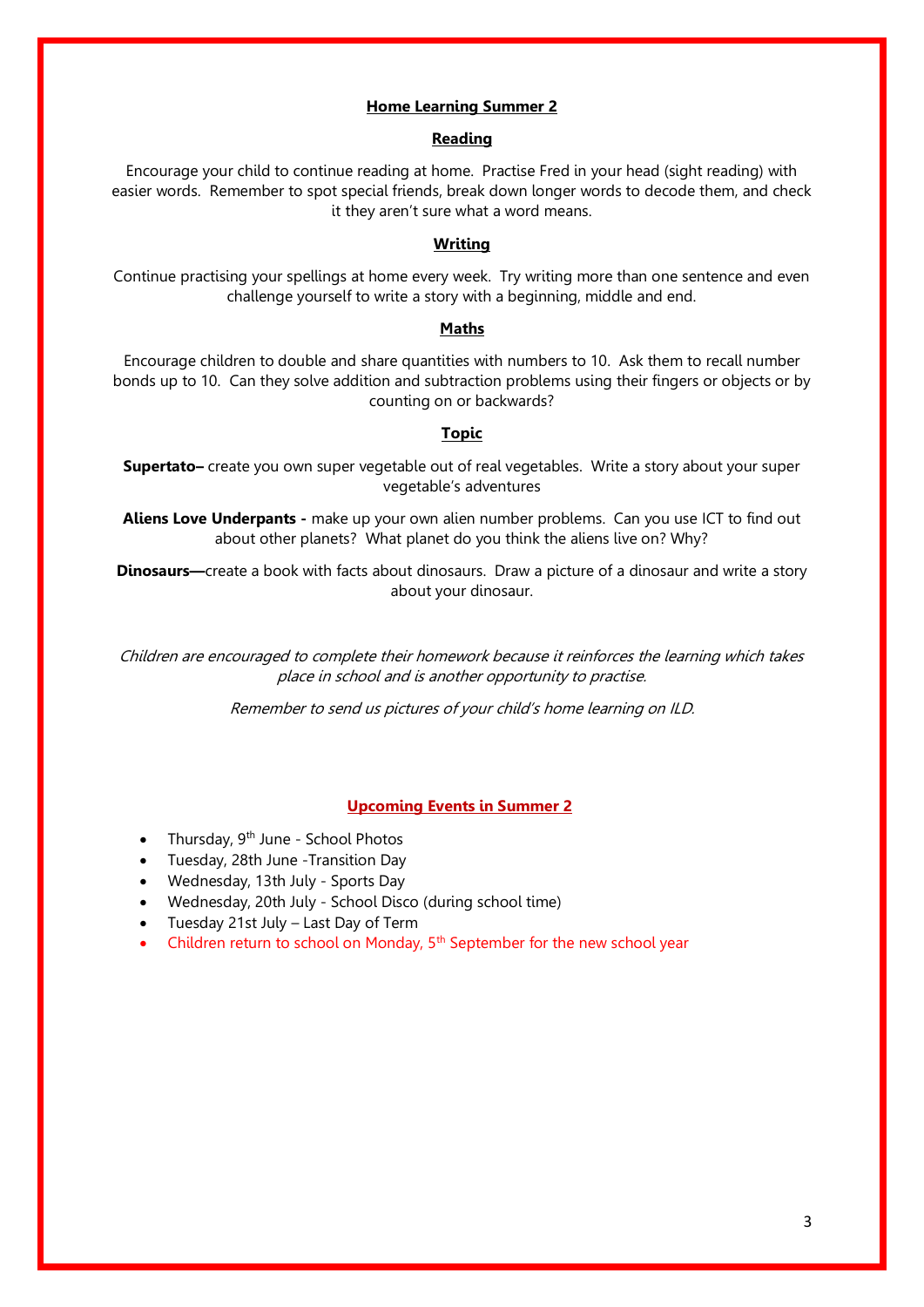#### **Home Learning Summer 2**

#### **Reading**

Encourage your child to continue reading at home. Practise Fred in your head (sight reading) with easier words. Remember to spot special friends, break down longer words to decode them, and check it they aren't sure what a word means.

#### **Writing**

Continue practising your spellings at home every week. Try writing more than one sentence and even challenge yourself to write a story with a beginning, middle and end.

#### **Maths**

Encourage children to double and share quantities with numbers to 10. Ask them to recall number bonds up to 10. Can they solve addition and subtraction problems using their fingers or objects or by counting on or backwards?

#### **Topic**

**Supertato–** create you own super vegetable out of real vegetables. Write a story about your super vegetable's adventures

**Aliens Love Underpants -** make up your own alien number problems. Can you use ICT to find out about other planets? What planet do you think the aliens live on? Why?

**Dinosaurs—**create a book with facts about dinosaurs. Draw a picture of a dinosaur and write a story about your dinosaur.

Children are encouraged to complete their homework because it reinforces the learning which takes place in school and is another opportunity to practise.

Remember to send us pictures of your child's home learning on ILD.

#### **Upcoming Events in Summer 2**

- Thursday,  $9<sup>th</sup>$  June School Photos
- Tuesday, 28th June -Transition Day
- Wednesday, 13th July Sports Day
- Wednesday, 20th July School Disco (during school time)
- Tuesday 21st July Last Day of Term
- Children return to school on Monday, 5th September for the new school year